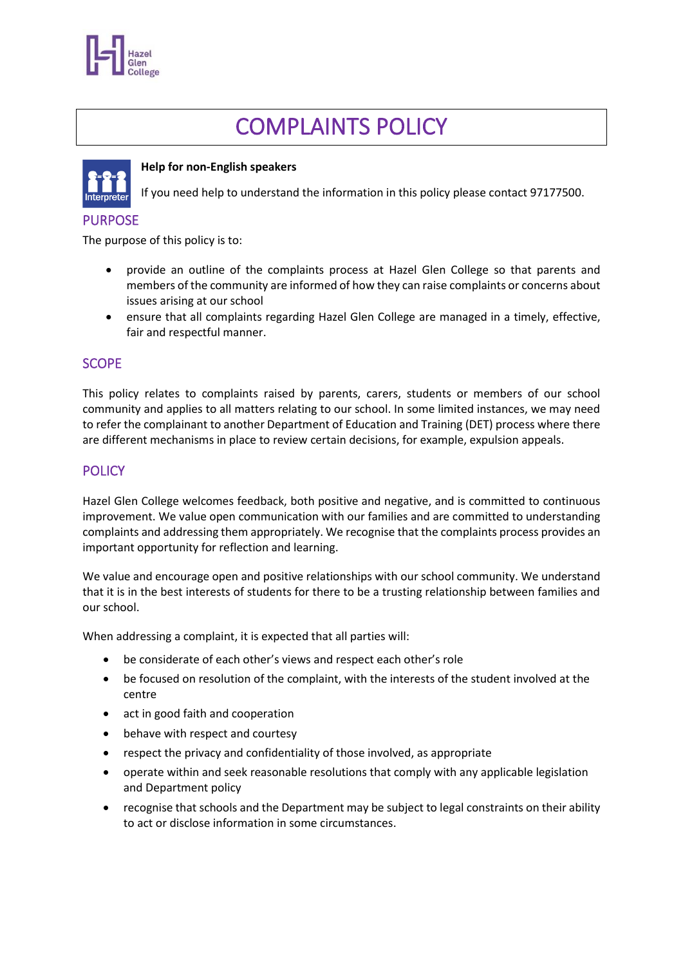

# COMPLAINTS POLICY



#### **Help for non-English speakers**

If you need help to understand the information in this policy please contact 97177500.

## PURPOSE

The purpose of this policy is to:

- provide an outline of the complaints process at Hazel Glen College so that parents and members of the community are informed of how they can raise complaints or concerns about issues arising at our school
- ensure that all complaints regarding Hazel Glen College are managed in a timely, effective, fair and respectful manner.

# **SCOPE**

This policy relates to complaints raised by parents, carers, students or members of our school community and applies to all matters relating to our school. In some limited instances, we may need to refer the complainant to another Department of Education and Training (DET) process where there are different mechanisms in place to review certain decisions, for example, expulsion appeals.

# **POLICY**

Hazel Glen College welcomes feedback, both positive and negative, and is committed to continuous improvement. We value open communication with our families and are committed to understanding complaints and addressing them appropriately. We recognise that the complaints process provides an important opportunity for reflection and learning.

We value and encourage open and positive relationships with our school community. We understand that it is in the best interests of students for there to be a trusting relationship between families and our school.

When addressing a complaint, it is expected that all parties will:

- be considerate of each other's views and respect each other's role
- be focused on resolution of the complaint, with the interests of the student involved at the centre
- act in good faith and cooperation
- behave with respect and courtesy
- respect the privacy and confidentiality of those involved, as appropriate
- operate within and seek reasonable resolutions that comply with any applicable legislation and Department policy
- recognise that schools and the Department may be subject to legal constraints on their ability to act or disclose information in some circumstances.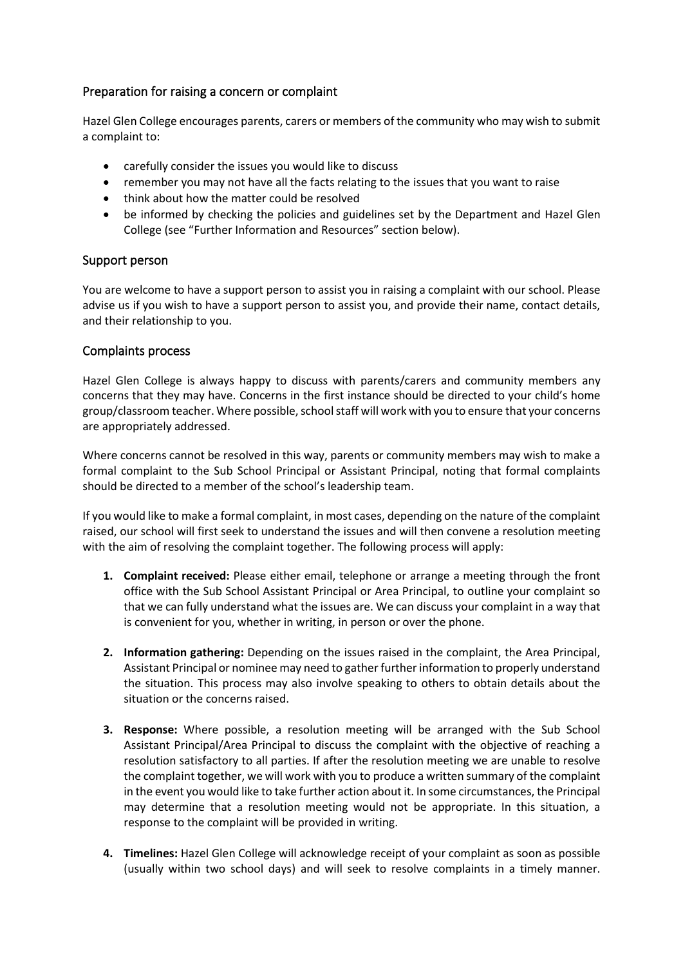## Preparation for raising a concern or complaint

Hazel Glen College encourages parents, carers or members of the community who may wish to submit a complaint to:

- carefully consider the issues you would like to discuss
- remember you may not have all the facts relating to the issues that you want to raise
- think about how the matter could be resolved
- be informed by checking the policies and guidelines set by the Department and Hazel Glen College (see "Further Information and Resources" section below).

#### Support person

You are welcome to have a support person to assist you in raising a complaint with our school. Please advise us if you wish to have a support person to assist you, and provide their name, contact details, and their relationship to you.

#### Complaints process

Hazel Glen College is always happy to discuss with parents/carers and community members any concerns that they may have. Concerns in the first instance should be directed to your child's home group/classroom teacher. Where possible, school staff will work with you to ensure that your concerns are appropriately addressed.

Where concerns cannot be resolved in this way, parents or community members may wish to make a formal complaint to the Sub School Principal or Assistant Principal, noting that formal complaints should be directed to a member of the school's leadership team.

If you would like to make a formal complaint, in most cases, depending on the nature of the complaint raised, our school will first seek to understand the issues and will then convene a resolution meeting with the aim of resolving the complaint together. The following process will apply:

- **1. Complaint received:** Please either email, telephone or arrange a meeting through the front office with the Sub School Assistant Principal or Area Principal, to outline your complaint so that we can fully understand what the issues are. We can discuss your complaint in a way that is convenient for you, whether in writing, in person or over the phone.
- **2. Information gathering:** Depending on the issues raised in the complaint, the Area Principal, Assistant Principal or nominee may need to gather further information to properly understand the situation. This process may also involve speaking to others to obtain details about the situation or the concerns raised.
- **3. Response:** Where possible, a resolution meeting will be arranged with the Sub School Assistant Principal/Area Principal to discuss the complaint with the objective of reaching a resolution satisfactory to all parties. If after the resolution meeting we are unable to resolve the complaint together, we will work with you to produce a written summary of the complaint in the event you would like to take further action about it. In some circumstances, the Principal may determine that a resolution meeting would not be appropriate. In this situation, a response to the complaint will be provided in writing.
- **4. Timelines:** Hazel Glen College will acknowledge receipt of your complaint as soon as possible (usually within two school days) and will seek to resolve complaints in a timely manner.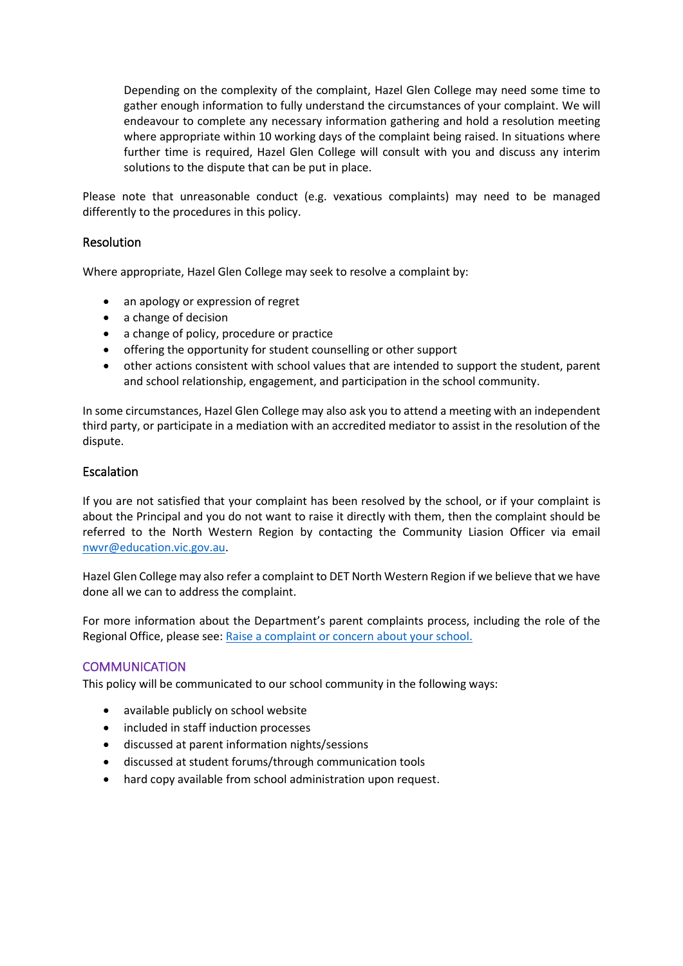Depending on the complexity of the complaint, Hazel Glen College may need some time to gather enough information to fully understand the circumstances of your complaint. We will endeavour to complete any necessary information gathering and hold a resolution meeting where appropriate within 10 working days of the complaint being raised. In situations where further time is required, Hazel Glen College will consult with you and discuss any interim solutions to the dispute that can be put in place.

Please note that unreasonable conduct (e.g. vexatious complaints) may need to be managed differently to the procedures in this policy.

#### **Resolution**

Where appropriate, Hazel Glen College may seek to resolve a complaint by:

- an apology or expression of regret
- a change of decision
- a change of policy, procedure or practice
- offering the opportunity for student counselling or other support
- other actions consistent with school values that are intended to support the student, parent and school relationship, engagement, and participation in the school community.

In some circumstances, Hazel Glen College may also ask you to attend a meeting with an independent third party, or participate in a mediation with an accredited mediator to assist in the resolution of the dispute.

#### **Escalation**

If you are not satisfied that your complaint has been resolved by the school, or if your complaint is about the Principal and you do not want to raise it directly with them, then the complaint should be referred to the North Western Region by contacting the Community Liasion Officer via email [nwvr@education.vic.gov.au.](mailto:nwvr@education.vic.gov.au)

Hazel Glen College may also refer a complaint to DET North Western Region if we believe that we have done all we can to address the complaint.

For more information about the Department's parent complaints process, including the role of the Regional Office, please see: [Raise a complaint or concern about your school.](https://www.vic.gov.au/raise-complaint-or-concern-about-your-school#speaking-to-your-school)

#### **COMMUNICATION**

This policy will be communicated to our school community in the following ways:

- available publicly on school website
- included in staff induction processes
- discussed at parent information nights/sessions
- discussed at student forums/through communication tools
- hard copy available from school administration upon request.